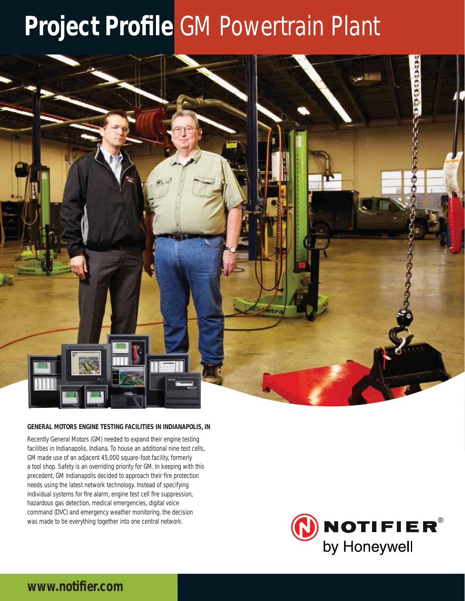# **Project Profile GM Powertrain Plant**



#### **GENERAL MOTORS ENGINE TESTING FACILITIES IN INDIANAPOLIS, IN**

Recently General Motors (GM) needed to expand their engine testing facilities in Indianapolis, Indiana. To house an additional nine test cells, GM made use of an adjacent 45,000 square-foot facility, formerly a tool shop. Safety is an overriding priority for GM. In keeping with this precedent, GM Indianapolis decided to approach their fire protection needs using the latest network technology. Instead of specifying individual systems for fire alarm, engine test cell fire suppression, hazardous gas detection, medical emergencies, digital voice command (DVC) and emergency weather monitoring, the decision was made to tie everything together into one central network.



## www.notifier.com